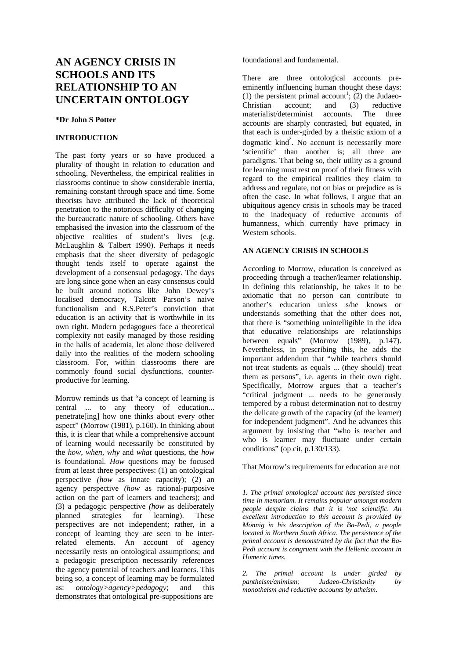# **AN AGENCY CRISIS IN SCHOOLS AND ITS RELATIONSHIP TO AN UNCERTAIN ONTOLOGY**

### **\*Dr John S Potter**

## **INTRODUCTION**

The past forty years or so have produced a plurality of thought in relation to education and schooling. Nevertheless, the empirical realities in classrooms continue to show considerable inertia, remaining constant through space and time. Some theorists have attributed the lack of theoretical penetration to the notorious difficulty of changing the bureaucratic nature of schooling. Others have emphasised the invasion into the classroom of the objective realities of student's lives (e.g. McLaughlin & Talbert 1990). Perhaps it needs emphasis that the sheer diversity of pedagogic thought tends itself to operate against the development of a consensual pedagogy. The days are long since gone when an easy consensus could be built around notions like John Dewey's localised democracy, Talcott Parson's naive functionalism and R.S.Peter's conviction that education is an activity that is worthwhile in its own right. Modern pedagogues face a theoretical complexity not easily managed by those residing in the halls of academia, let alone those delivered daily into the realities of the modern schooling classroom. For, within classrooms there are commonly found social dysfunctions, counterproductive for learning.

Morrow reminds us that "a concept of learning is central ... to any theory of education... penetrate[ing] how one thinks about every other aspect" (Morrow (1981), p.160). In thinking about this, it is clear that while a comprehensive account of learning would necessarily be constituted by the *how, when, why* and *what* questions, the *how*  is foundational. *How* questions may be focused from at least three perspectives: (1) an ontological perspective *(how* as innate capacity); (2) an agency perspective *(how* as rational-purposive action on the part of learners and teachers); and (3) a pedagogic perspective *(how* as deliberately planned strategies for learning). These perspectives are not independent; rather, in a concept of learning they are seen to be interrelated elements. An account of agency necessarily rests on ontological assumptions; and a pedagogic prescription necessarily references the agency potential of teachers and learners. This being so, a concept of learning may be formulated as: *ontology>agency>pedagogy*; and this demonstrates that ontological pre-suppositions are

foundational and fundamental.

There are three ontological accounts preeminently influencing human thought these days: (1) the persistent primal account<sup>1</sup>; (2) the Judaeo-Christian account; and (3) reductive materialist/determinist accounts. The three accounts are sharply contrasted, but equated, in that each is under-girded by a theistic axiom of a dogmatic  $\text{kind}^2$ . No account is necessarily more 'scientific' than another is; all three are paradigms. That being so, their utility as a ground for learning must rest on proof of their fitness with regard to the empirical realities they claim to address and regulate, not on bias or prejudice as is often the case. In what follows, I argue that an ubiquitous agency crisis in schools may be traced to the inadequacy of reductive accounts of humanness, which currently have primacy in Western schools.

### **AN AGENCY CRISIS IN SCHOOLS**

According to Morrow, education is conceived as proceeding through a teacher/learner relationship. In defining this relationship, he takes it to be axiomatic that no person can contribute to another's education unless s/he knows or understands something that the other does not, that there is "something unintelligible in the idea that educative relationships are relationships between equals" (Morrow (1989), p.147). Nevertheless, in prescribing this, he adds the important addendum that "while teachers should not treat students as equals ... (they should) treat them as persons", i.e. agents in their own right. Specifically, Morrow argues that a teacher's "critical judgment ... needs to be generously tempered by a robust determination not to destroy the delicate growth of the capacity (of the learner) for independent judgment". And he advances this argument by insisting that "who is teacher and who is learner may fluctuate under certain conditions" (op cit, p.130/133).

## That Morrow's requirements for education are not

*1. The primal ontological account has persisted since time in memoriam. It remains popular amongst modern people despite claims that it is 'not scientific. An excellent introduction to this account is provided by Mönnig in his description of the Ba-Pedi, a people located in Northern South Africa. The persistence of the primal account is demonstrated by the fact that the Ba-Pedi account is congruent with the Hellenic account in Homeric times.* 

*2. The primal account is under girded by pantheism/animism; Judaeo-Christianity by monotheism and reductive accounts by atheism.*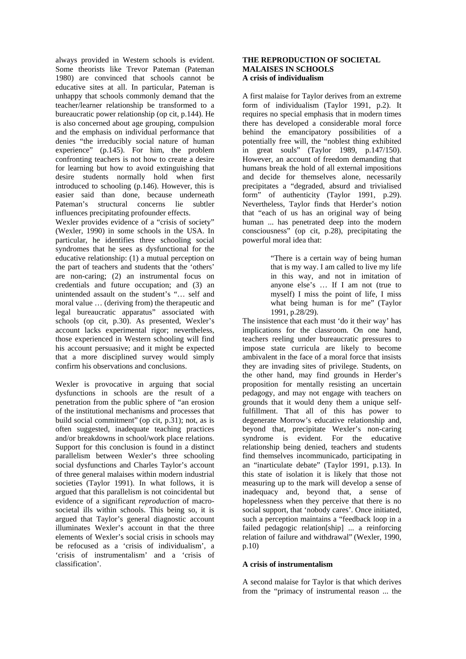always provided in Western schools is evident. Some theorists like Trevor Pateman (Pateman 1980) are convinced that schools cannot be educative sites at all. In particular, Pateman is unhappy that schools commonly demand that the teacher/learner relationship be transformed to a bureaucratic power relationship (op cit, p.144). He is also concerned about age grouping, compulsion and the emphasis on individual performance that denies "the irreducibly social nature of human experience" (p.145). For him, the problem confronting teachers is not how to create a desire for learning but how to avoid extinguishing that desire students normally hold when first introduced to schooling (p.146). However, this is easier said than done, because underneath Pateman's structural concerns lie subtler influences precipitating profounder effects.

Wexler provides evidence of a "crisis of society" (Wexler, 1990) in some schools in the USA. In particular, he identifies three schooling social syndromes that he sees as dysfunctional for the educative relationship: (1) a mutual perception on the part of teachers and students that the 'others' are non-caring; (2) an instrumental focus on credentials and future occupation; and (3) an unintended assault on the student's "… self and moral value … (deriving from) the therapeutic and legal bureaucratic apparatus" associated with schools (op cit, p.30). As presented, Wexler's account lacks experimental rigor; nevertheless, those experienced in Western schooling will find his account persuasive; and it might be expected that a more disciplined survey would simply confirm his observations and conclusions.

Wexler is provocative in arguing that social dysfunctions in schools are the result of a penetration from the public sphere of "an erosion of the institutional mechanisms and processes that build social commitment" (op cit, p.31); not, as is often suggested, inadequate teaching practices and/or breakdowns in school/work place relations. Support for this conclusion is found in a distinct parallelism between Wexler's three schooling social dysfunctions and Charles Taylor's account of three general malaises within modern industrial societies (Taylor 1991). In what follows, it is argued that this parallelism is not coincidental but evidence of a significant *reproduction* of macrosocietal ills within schools. This being so, it is argued that Taylor's general diagnostic account illuminates Wexler's account in that the three elements of Wexler's social crisis in schools may be refocused as a 'crisis of individualism', a 'crisis of instrumentalism' and a 'crisis of classification'.

## **THE REPRODUCTION OF SOCIETAL MALAISES IN SCHOOLS A crisis of individualism**

A first malaise for Taylor derives from an extreme form of individualism (Taylor 1991, p.2). It requires no special emphasis that in modern times there has developed a considerable moral force behind the emancipatory possibilities of a potentially free will, the "noblest thing exhibited in great souls" (Taylor 1989, p.147/150). However, an account of freedom demanding that humans break the hold of all external impositions and decide for themselves alone, necessarily precipitates a "degraded, absurd and trivialised form" of authenticity (Taylor 1991, p.29). Nevertheless, Taylor finds that Herder's notion that "each of us has an original way of being human ... has penetrated deep into the modern consciousness" (op cit, p.28), precipitating the powerful moral idea that:

> "There is a certain way of being human that is my way. I am called to live my life in this way, and not in imitation of anyone else's … If I am not (true to myself) I miss the point of life, I miss what being human is for me" (Taylor 1991, p.28/29).

The insistence that each must 'do it their way' has implications for the classroom. On one hand, teachers reeling under bureaucratic pressures to impose state curricula are likely to become ambivalent in the face of a moral force that insists they are invading sites of privilege. Students, on the other hand, may find grounds in Herder's proposition for mentally resisting an uncertain pedagogy, and may not engage with teachers on grounds that it would deny them a unique selffulfillment. That all of this has power to degenerate Morrow's educative relationship and, beyond that, precipitate Wexler's non-caring syndrome is evident. For the educative relationship being denied, teachers and students find themselves incommunicado, participating in an "inarticulate debate" (Taylor 1991, p.13). In this state of isolation it is likely that those not measuring up to the mark will develop a sense of inadequacy and, beyond that, a sense of hopelessness when they perceive that there is no social support, that 'nobody cares'. Once initiated, such a perception maintains a "feedback loop in a failed pedagogic relation[ship] ... a reinforcing relation of failure and withdrawal" (Wexler, 1990, p.10)

# **A crisis of instrumentalism**

A second malaise for Taylor is that which derives from the "primacy of instrumental reason ... the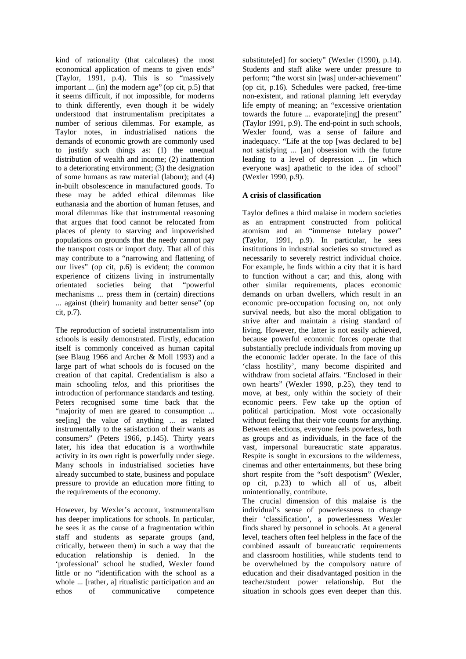kind of rationality (that calculates) the most economical application of means to given ends" (Taylor, 1991, p.4). This is so "massively important ... (in) the modern age" (op cit, p.5) that it seems difficult, if not impossible, for moderns to think differently, even though it be widely understood that instrumentalism precipitates a number of serious dilemmas. For example, as Taylor notes, in industrialised nations the demands of economic growth are commonly used to justify such things as: (1) the unequal distribution of wealth and income; (2) inattention to a deteriorating environment; (3) the designation of some humans as raw material (labour); and (4) in-built obsolescence in manufactured goods. To these may be added ethical dilemmas like euthanasia and the abortion of human fetuses, and moral dilemmas like that instrumental reasoning that argues that food cannot be relocated from places of plenty to starving and impoverished populations on grounds that the needy cannot pay the transport costs or import duty. That all of this may contribute to a "narrowing and flattening of our lives" (op cit, p.6) is evident; the common experience of citizens living in instrumentally orientated societies being that "powerful mechanisms ... press them in (certain) directions ... against (their) humanity and better sense" (op cit, p.7).

The reproduction of societal instrumentalism into schools is easily demonstrated. Firstly, education itself is commonly conceived as human capital (see Blaug 1966 and Archer & Moll 1993) and a large part of what schools do is focused on the creation of that capital. Credentialism is also a main schooling *telos,* and this prioritises the introduction of performance standards and testing. Peters recognised some time back that the "majority of men are geared to consumption ... see[ing] the value of anything ... as related instrumentally to the satisfaction of their wants as consumers" (Peters 1966, p.145). Thirty years later, his idea that education is a worthwhile activity in its *own* right is powerfully under siege. Many schools in industrialised societies have already succumbed to state, business and populace pressure to provide an education more fitting to the requirements of the economy.

However, by Wexler's account, instrumentalism has deeper implications for schools. In particular, he sees it as the cause of a fragmentation within staff and students as separate groups (and, critically, between them) in such a way that the education relationship is denied. In the 'professional' school he studied, Wexler found little or no "identification with the school as a whole ... [rather, a] ritualistic participation and an ethos of communicative competence substitute[ed] for society" (Wexler (1990), p.14). Students and staff alike were under pressure to perform; "the worst sin [was] under-achievement" (op cit, p.16). Schedules were packed, free-time non-existent, and rational planning left everyday life empty of meaning; an "excessive orientation towards the future ... evaporate[ing] the present" (Taylor 1991, p.9). The end-point in such schools, Wexler found, was a sense of failure and inadequacy. "Life at the top [was declared to be] not satisfying ... [an] obsession with the future leading to a level of depression ... [in which everyone was] apathetic to the idea of school" (Wexler 1990, p.9).

# **A crisis of classification**

Taylor defines a third malaise in modern societies as an entrapment constructed from political atomism and an "immense tutelary power" (Taylor, 1991, p.9). In particular, he sees institutions in industrial societies so structured as necessarily to severely restrict individual choice. For example, he finds within a city that it is hard to function without a car; and this, along with other similar requirements, places economic demands on urban dwellers, which result in an economic pre-occupation focusing on, not only survival needs, but also the moral obligation to strive after and maintain a rising standard of living. However, the latter is not easily achieved, because powerful economic forces operate that substantially preclude individuals from moving up the economic ladder operate. In the face of this 'class hostility', many become dispirited and withdraw from societal affairs. "Enclosed in their own hearts" (Wexler 1990, p.25), they tend to move, at best, only within the society of their economic peers. Few take up the option of political participation. Most vote occasionally without feeling that their vote counts for anything. Between elections, everyone feels powerless, both as groups and as individuals, in the face of the vast, impersonal bureaucratic state apparatus. Respite is sought in excursions to the wilderness, cinemas and other entertainments, but these bring short respite from the "soft despotism" (Wexler, op cit, p.23) to which all of us, albeit unintentionally, contribute.

The crucial dimension of this malaise is the individual's sense of powerlessness to change their 'classification', a powerlessness Wexler finds shared by personnel in schools. At a general level, teachers often feel helpless in the face of the combined assault of bureaucratic requirements and classroom hostilities, while students tend to be overwhelmed by the compulsory nature of education and their disadvantaged position in the teacher/student power relationship. But the situation in schools goes even deeper than this.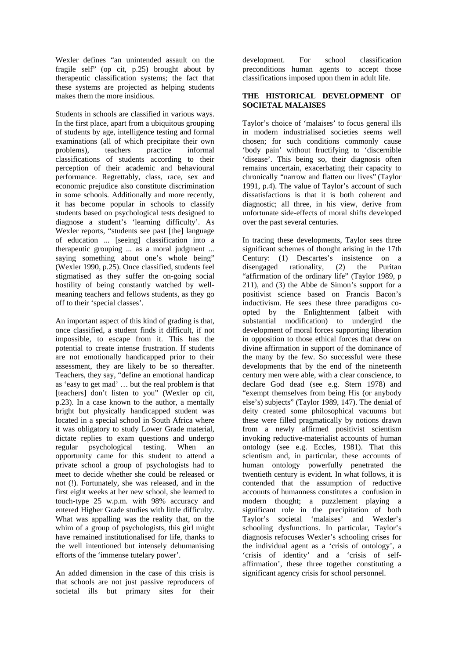Wexler defines "an unintended assault on the fragile self" (op cit, p.25) brought about by therapeutic classification systems; the fact that these systems are projected as helping students makes them the more insidious.

Students in schools are classified in various ways. In the first place, apart from a ubiquitous grouping of students by age, intelligence testing and formal examinations (all of which precipitate their own problems), teachers practice informal classifications of students according to their perception of their academic and behavioural performance. Regrettably, class, race, sex and economic prejudice also constitute discrimination in some schools. Additionally and more recently, it has become popular in schools to classify students based on psychological tests designed to diagnose a student's 'learning difficulty'. As Wexler reports, "students see past [the] language of education ... [seeing] classification into a therapeutic grouping ... as a moral judgment ... saying something about one's whole being" (Wexler 1990, p.25). Once classified, students feel stigmatised as they suffer the on-going social hostility of being constantly watched by wellmeaning teachers and fellows students, as they go off to their 'special classes'.

An important aspect of this kind of grading is that, once classified, a student finds it difficult, if not impossible, to escape from it. This has the potential to create intense frustration. If students are not emotionally handicapped prior to their assessment, they are likely to be so thereafter. Teachers, they say, "define an emotional handicap as 'easy to get mad' … but the real problem is that [teachers] don't listen to you" (Wexler op cit, p.23). In a case known to the author, a mentally bright but physically handicapped student was located in a special school in South Africa where it was obligatory to study Lower Grade material, dictate replies to exam questions and undergo regular psychological testing. When an opportunity came for this student to attend a private school a group of psychologists had to meet to decide whether she could be released or not (!). Fortunately, she was released, and in the first eight weeks at her new school, she learned to touch-type 25 w.p.m. with 98% accuracy and entered Higher Grade studies with little difficulty. What was appalling was the reality that, on the whim of a group of psychologists, this girl might have remained institutionalised for life, thanks to the well intentioned but intensely dehumanising efforts of the 'immense tutelary power'.

An added dimension in the case of this crisis is that schools are not just passive reproducers of societal ills but primary sites for their development. For school classification preconditions human agents to accept those classifications imposed upon them in adult life.

# **THE HISTORICAL DEVELOPMENT OF SOCIETAL MALAISES**

Taylor's choice of 'malaises' to focus general ills in modern industrialised societies seems well chosen; for such conditions commonly cause 'body pain' without fructifying to 'discernible 'disease'. This being so, their diagnosis often remains uncertain, exacerbating their capacity to chronically "narrow and flatten our lives" (Taylor 1991, p.4). The value of Taylor's account of such dissatisfactions is that it is both coherent and diagnostic; all three, in his view, derive from unfortunate side-effects of moral shifts developed over the past several centuries.

In tracing these developments, Taylor sees three significant schemes of thought arising in the 17th Century: (1) Descartes's insistence on a disengaged rationality, (2) the Puritan "affirmation of the ordinary life" (Taylor 1989, p 211), and (3) the Abbe de Simon's support for a positivist science based on Francis Bacon's inductivism. He sees these three paradigms coopted by the Enlightenment (albeit with substantial modification) to undergird the development of moral forces supporting liberation in opposition to those ethical forces that drew on divine affirmation in support of the dominance of the many by the few. So successful were these developments that by the end of the nineteenth century men were able, with a clear conscience, to declare God dead (see e.g. Stern 1978) and "exempt themselves from being His (or anybody else's) subjects" (Taylor 1989, 147). The denial of deity created some philosophical vacuums but these were filled pragmatically by notions drawn from a newly affirmed positivist scientism invoking reductive-materialist accounts of human ontology (see e.g. Eccles, 1981). That this scientism and, in particular, these accounts of human ontology powerfully penetrated the twentieth century is evident. In what follows, it is contended that the assumption of reductive accounts of humanness constitutes a confusion in modern thought; a puzzlement playing a significant role in the precipitation of both Taylor's societal 'malaises' and Wexler's schooling dysfunctions. In particular, Taylor's diagnosis refocuses Wexler's schooling crises for the individual agent as a 'crisis of ontology', a 'crisis of identity' and a 'crisis of selfaffirmation', these three together constituting a significant agency crisis for school personnel.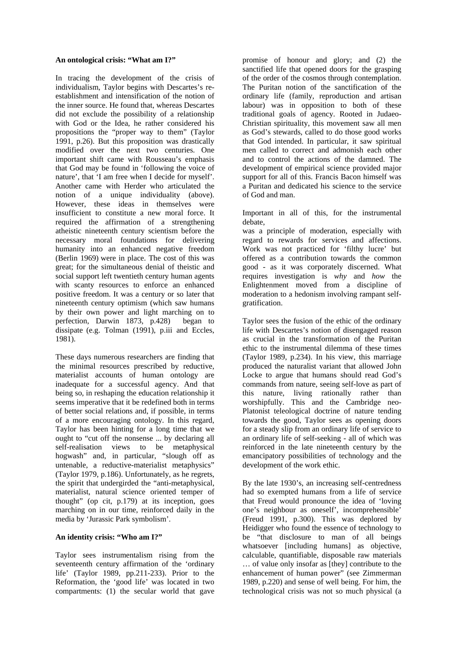## **An ontological crisis: "What am I?"**

In tracing the development of the crisis of individualism, Taylor begins with Descartes's reestablishment and intensification of the notion of the inner source. He found that, whereas Descartes did not exclude the possibility of a relationship with God or the Idea, he rather considered his propositions the "proper way to them" (Taylor 1991, p.26). But this proposition was drastically modified over the next two centuries. One important shift came with Rousseau's emphasis that God may be found in 'following the voice of nature', that 'I am free when I decide for myself'. Another came with Herder who articulated the notion of a unique individuality (above). However, these ideas in themselves were insufficient to constitute a new moral force. It required the affirmation of a strengthening atheistic nineteenth century scientism before the necessary moral foundations for delivering humanity into an enhanced negative freedom (Berlin 1969) were in place. The cost of this was great; for the simultaneous denial of theistic and social support left twentieth century human agents with scanty resources to enforce an enhanced positive freedom. It was a century or so later that nineteenth century optimism (which saw humans by their own power and light marching on to perfection, Darwin 1873, p.428) began to dissipate (e.g. Tolman (1991), p.iii and Eccles, 1981).

These days numerous researchers are finding that the minimal resources prescribed by reductive, materialist accounts of human ontology are inadequate for a successful agency. And that being so, in reshaping the education relationship it seems imperative that it be redefined both in terms of better social relations and, if possible, in terms of a more encouraging ontology. In this regard, Taylor has been hinting for a long time that we ought to "cut off the nonsense ... by declaring all self-realisation views to be metaphysical hogwash" and, in particular, "slough off as untenable, a reductive-materialist metaphysics" (Taylor 1979, p.186). Unfortunately, as he regrets, the spirit that undergirded the "anti-metaphysical, materialist, natural science oriented temper of thought" (op cit, p.179) at its inception, goes marching on in our time, reinforced daily in the media by 'Jurassic Park symbolism'.

# **An identity crisis: "Who am I?"**

Taylor sees instrumentalism rising from the seventeenth century affirmation of the 'ordinary life' (Taylor 1989, pp.211-233). Prior to the Reformation, the 'good life' was located in two compartments: (1) the secular world that gave promise of honour and glory; and (2) the sanctified life that opened doors for the grasping of the order of the cosmos through contemplation. The Puritan notion of the sanctification of the ordinary life (family, reproduction and artisan labour) was in opposition to both of these traditional goals of agency. Rooted in Judaeo-Christian spirituality, this movement saw all men as God's stewards, called to do those good works that God intended. In particular, it saw spiritual men called to correct and admonish each other and to control the actions of the damned. The development of empirical science provided major support for all of this. Francis Bacon himself was a Puritan and dedicated his science to the service of God and man.

Important in all of this, for the instrumental debate,

was a principle of moderation, especially with regard to rewards for services and affections. Work was not practiced for 'filthy lucre' but offered as a contribution towards the common good - as it was corporately discerned. What requires investigation is *why* and *how* the Enlightenment moved from a discipline of moderation to a hedonism involving rampant selfgratification.

Taylor sees the fusion of the ethic of the ordinary life with Descartes's notion of disengaged reason as crucial in the transformation of the Puritan ethic to the instrumental dilemma of these times (Taylor 1989, p.234). In his view, this marriage produced the naturalist variant that allowed John Locke to argue that humans should read God's commands from nature, seeing self-love as part of this nature, living rationally rather than worshipfully. This and the Cambridge neo-Platonist teleological doctrine of nature tending towards the good, Taylor sees as opening doors for a steady slip from an ordinary life of service to an ordinary life of self-seeking - all of which was reinforced in the late nineteenth century by the emancipatory possibilities of technology and the development of the work ethic.

By the late 1930's, an increasing self-centredness had so exempted humans from a life of service that Freud would pronounce the idea of 'loving one's neighbour as oneself', incomprehensible' (Freud 1991, p.300). This was deplored by Heidigger who found the essence of technology to be "that disclosure to man of all beings whatsoever [including humans] as objective, calculable, quantifiable, disposable raw materials … of value only insofar as [they] contribute to the enhancement of human power" (see Zimmerman 1989, p.220) and sense of well being. For him, the technological crisis was not so much physical (a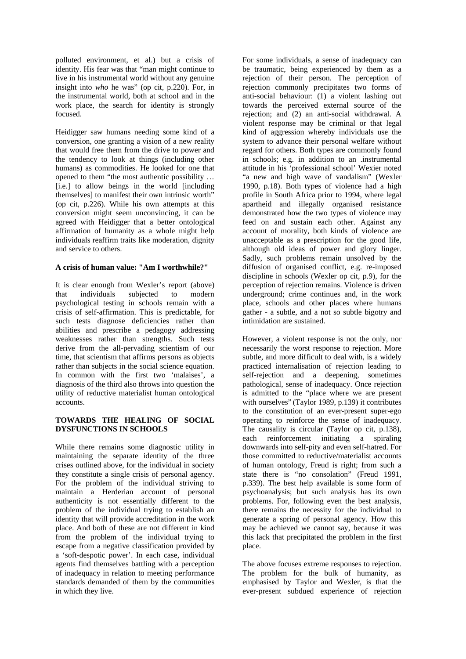polluted environment, et al.) but a crisis of identity. His fear was that "man might continue to live in his instrumental world without any genuine insight into *who* he was" (op cit, p.220). For, in the instrumental world, both at school and in the work place, the search for identity is strongly focused.

Heidigger saw humans needing some kind of a conversion, one granting a vision of a new reality that would free them from the drive to power and the tendency to look at things (including other humans) as commodities. He looked for one that opened to them "the most authentic possibility … [i.e.] to allow beings in the world [including themselves] to manifest their own intrinsic worth" (op cit, p.226). While his own attempts at this conversion might seem unconvincing, it can be agreed with Heidigger that a better ontological affirmation of humanity as a whole might help individuals reaffirm traits like moderation, dignity and service to others.

# **A crisis of human value: "Am I worthwhile?"**

It is clear enough from Wexler's report (above) that individuals subjected to modern psychological testing in schools remain with a crisis of self-affirmation. This is predictable, for such tests diagnose deficiencies rather than abilities and prescribe a pedagogy addressing weaknesses rather than strengths. Such tests derive from the all-pervading scientism of our time, that scientism that affirms persons as objects rather than subjects in the social science equation. In common with the first two 'malaises', a diagnosis of the third also throws into question the utility of reductive materialist human ontological accounts.

# **TOWARDS THE HEALING OF SOCIAL DYSFUNCTIONS IN SCHOOLS**

While there remains some diagnostic utility in maintaining the separate identity of the three crises outlined above, for the individual in society they constitute a single crisis of personal agency. For the problem of the individual striving to maintain a Herderian account of personal authenticity is not essentially different to the problem of the individual trying to establish an identity that will provide accreditation in the work place. And both of these are not different in kind from the problem of the individual trying to escape from a negative classification provided by a 'soft-despotic power'. In each case, individual agents find themselves battling with a perception of inadequacy in relation to meeting performance standards demanded of them by the communities in which they live.

For some individuals, a sense of inadequacy can be traumatic, being experienced by them as a rejection of their person. The perception of rejection commonly precipitates two forms of anti-social behaviour: (1) a violent lashing out towards the perceived external source of the rejection; and (2) an anti-social withdrawal. A violent response may be criminal or that legal kind of aggression whereby individuals use the system to advance their personal welfare without regard for others. Both types are commonly found in schools; e.g. in addition to an .instrumental attitude in his 'professional school' Wexier noted "a new and high wave of vandalism" (Wexler 1990, p.18). Both types of violence had a high profile in South Africa prior to 1994, where legal apartheid and illegally organised resistance demonstrated how the two types of violence may feed on and sustain each other. Against any account of morality, both kinds of violence are unacceptable as a prescription for the good life, although old ideas of power and glory linger. Sadly, such problems remain unsolved by the diffusion of organised conflict, e.g. re-imposed discipline in schools (Wexler op cit, p.9), for the perception of rejection remains. Violence is driven underground; crime continues and, in the work place, schools and other places where humans gather - a subtle, and a not so subtle bigotry and intimidation are sustained.

However, a violent response is not the only, nor necessarily the worst response to rejection. More subtle, and more difficult to deal with, is a widely practiced internalisation of rejection leading to self-rejection and a deepening, sometimes pathological, sense of inadequacy. Once rejection is admitted to the "place where we are present with ourselves" (Taylor 1989, p.139) it contributes to the constitution of an ever-present super-ego operating to reinforce the sense of inadequacy. The causality is circular (Taylor op cit, p.138), each reinforcement initiating a spiraling downwards into self-pity and even self-hatred. For those committed to reductive/materialist accounts of human ontology, Freud is right; from such a state there is "no consolation" (Freud 1991, p.339). The best help available is some form of psychoanalysis; but such analysis has its own problems. For, following even the best analysis, there remains the necessity for the individual to generate a spring of personal agency. How this may be achieved we cannot say, because it was this lack that precipitated the problem in the first place.

The above focuses extreme responses to rejection. The problem for the bulk of humanity, as emphasised by Taylor and Wexler, is that the ever-present subdued experience of rejection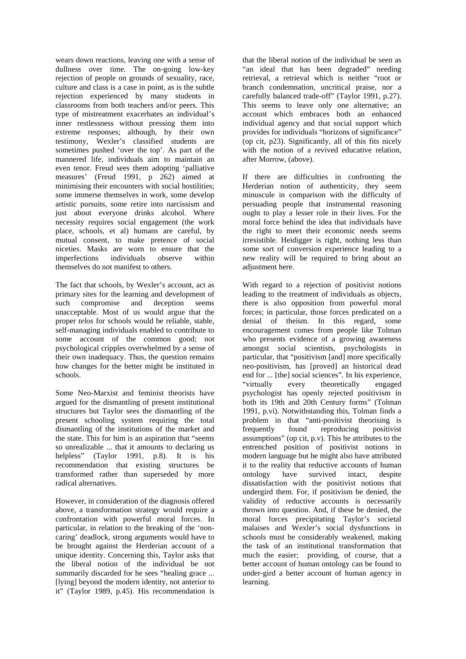wears down reactions, leaving one with a sense of dullness over time. The on-going low-key rejection of people on grounds of sexuality, race, culture and class is a case in point, as is the subtle rejection experienced by many students in classrooms from both teachers and/or peers. This type of mistreatment exacerbates an individual's inner restlessness without pressing them into extreme responses; although, by their own testimony, Wexler's classified students are sometimes pushed 'over the top'. As part of the mannered life, individuals aim to maintain an even tenor. Freud sees them adopting 'palliative measures' (Freud 1991, p 262) aimed at minimising their encounters with social hostilities; some immerse themselves in work, some develop artistic pursuits, some retire into narcissism and just about everyone drinks alcohol. Where necessity requires social engagement (the work place, schools, et al) humans are careful, by mutual consent, to make pretence of social niceties. Masks are worn to ensure that the imperfections individuals observe within themselves do not manifest to others.

The fact that schools, by Wexler's account, act as primary sites for the learning and development of such compromise and deception seems unacceptable. Most of us would argue that the proper *telos* for schools would be reliable, stable, self-managing individuals enabled to contribute to some account of the common good; not psychological cripples overwhelmed by a sense of their own inadequacy. Thus, the question remains how changes for the better might be instituted in schools.

Some Neo-Marxist and feminist theorists have argued for the dismantling of present institutional structures but Taylor sees the dismantling of the present schooling system requiring the total dismantling of the institutions of the market and the state. This for him is an aspiration that "seems so unrealizable ... that it amounts to declaring us helpless" (Taylor 1991, p.8). It is his recommendation that existing structures be transformed rather than superseded by more radical alternatives.

However, in consideration of the diagnosis offered above, a transformation strategy would require a confrontation with powerful moral forces. In particular, in relation to the breaking of the 'noncaring' deadlock, strong arguments would have to be brought against the Herderian account of a unique identity. Concerning this, Taylor asks that the liberal notion of the individual be not summarily discarded for he sees "healing grace ... [lying] beyond the modern identity, not anterior to it" (Taylor 1989, p.45). His recommendation is

that the liberal notion of the individual be seen as "an ideal that has been degraded" needing retrieval, a retrieval which is neither "root or branch condemnation, uncritical praise, nor a carefully balanced trade-off" (Taylor 1991, p.27). This seems to leave only one alternative; an account which embraces both an enhanced individual agency and that social support which provides for individuals "horizons of significance" (op cit, p23). Significantly, all of this fits nicely with the notion of a revived educative relation, after Morrow, (above).

If there are difficulties in confronting the Herderian notion of authenticity, they seem minuscule in comparison with the difficulty of persuading people that instrumental reasoning ought to play a lesser role in their lives. For the moral force behind the idea that individuals have the right to meet their economic needs seems irresistible. Heidigger is right, nothing less than some sort of conversion experience leading to a new reality will be required to bring about an adjustment here.

With regard to a rejection of positivist notions leading to the treatment of individuals as objects, there is also opposition from powerful moral forces; in particular, those forces predicated on a denial of theism. In this regard, some encouragement comes from people like Tolman who presents evidence of a growing awareness amongst social scientists, psychologists in particular, that "positivism [and] more specifically neo-positivism, has [proved] an historical dead end for ... [the] social sciences". In his experience, "virtually every theoretically engaged psychologist has openly rejected positivism in both its 19th and 20th Century forms" (Tolman 1991, p.vi). Notwithstanding this, Tolman finds a problem in that "anti-positivist theorising is frequently found reproducing positivist assumptions" (op cit, p.v). This he attributes to the entrenched position of positivist notions in modern language but he might also have attributed it to the reality that reductive accounts of human ontology have survived intact, despite dissatisfaction with the positivist notions that undergird them. For, if positivism be denied, the validity of reductive accounts is necessarily thrown into question. And, if these be denied, the moral forces precipitating Taylor's societal malaises and Wexler's social dysfunctions in schools must be considerably weakened, making the task of an institutional transformation that much the easier; providing, of course, that a better account of human ontology can be found to under-gird a better account of human agency in learning.